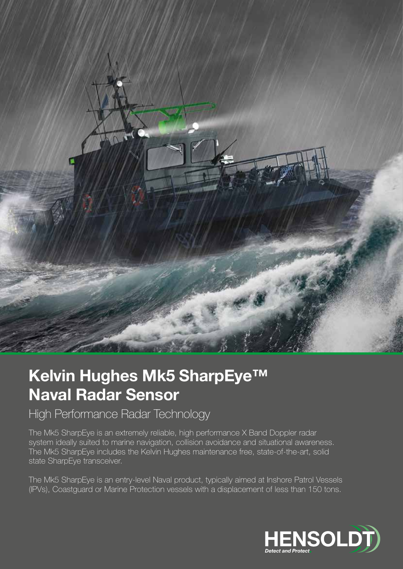

## Kelvin Hughes Mk5 SharpEye™ Naval Radar Sensor

High Performance Radar Technology

The Mk5 SharpEye is an extremely reliable, high performance X Band Doppler radar system ideally suited to marine navigation, collision avoidance and situational awareness. The Mk5 SharpEye includes the Kelvin Hughes maintenance free, state-of-the-art, solid state SharpEye transceiver.

The Mk5 SharpEye is an entry-level Naval product, typically aimed at Inshore Patrol Vessels (IPVs), Coastguard or Marine Protection vessels with a displacement of less than 150 tons.